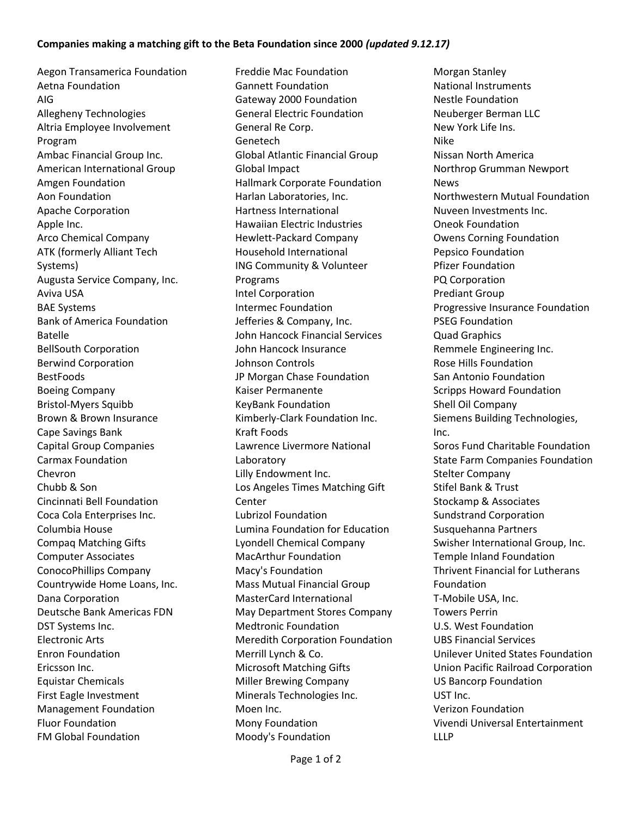## **Companies making a matching gift to the Beta Foundation since 2000** *(updated 9.12.17)*

Aegon Transamerica Foundation Aetna Foundation AIG Allegheny Technologies Altria Employee Involvement Program Ambac Financial Group Inc. American International Group Amgen Foundation Aon Foundation Apache Corporation Apple Inc. Arco Chemical Company ATK (formerly Alliant Tech Systems) Augusta Service Company, Inc. Aviva USA BAE Systems Bank of America Foundation Batelle BellSouth Corporation Berwind Corporation BestFoods Boeing Company Bristol-Myers Squibb Brown & Brown Insurance Cape Savings Bank Capital Group Companies Carmax Foundation Chevron Chubb & Son Cincinnati Bell Foundation Coca Cola Enterprises Inc. Columbia House Compaq Matching Gifts Computer Associates ConocoPhillips Company Countrywide Home Loans, Inc. Dana Corporation Deutsche Bank Americas FDN DST Systems Inc. Electronic Arts Enron Foundation Ericsson Inc. Equistar Chemicals First Eagle Investment Management Foundation Fluor Foundation FM Global Foundation

Freddie Mac Foundation Gannett Foundation Gateway 2000 Foundation General Electric Foundation General Re Corp. Genetech Global Atlantic Financial Group Global Impact Hallmark Corporate Foundation Harlan Laboratories, Inc. Hartness International Hawaiian Electric Industries Hewlett-Packard Company Household International ING Community & Volunteer Programs Intel Corporation Intermec Foundation Jefferies & Company, Inc. John Hancock Financial Services John Hancock Insurance Johnson Controls JP Morgan Chase Foundation Kaiser Permanente KeyBank Foundation Kimberly-Clark Foundation Inc. Kraft Foods Lawrence Livermore National Laboratory Lilly Endowment Inc. Los Angeles Times Matching Gift Center Lubrizol Foundation Lumina Foundation for Education Lyondell Chemical Company MacArthur Foundation Macy's Foundation Mass Mutual Financial Group MasterCard International May Department Stores Company Medtronic Foundation Meredith Corporation Foundation Merrill Lynch & Co. Microsoft Matching Gifts Miller Brewing Company Minerals Technologies Inc. Moen Inc. Mony Foundation Moody's Foundation

Morgan Stanley National Instruments Nestle Foundation Neuberger Berman LLC New York Life Ins. Nike Nissan North America Northrop Grumman Newport News Northwestern Mutual Foundation Nuveen Investments Inc. Oneok Foundation Owens Corning Foundation Pepsico Foundation Pfizer Foundation PQ Corporation Prediant Group Progressive Insurance Foundation PSEG Foundation Quad Graphics Remmele Engineering Inc. Rose Hills Foundation San Antonio Foundation Scripps Howard Foundation Shell Oil Company Siemens Building Technologies, Inc. Soros Fund Charitable Foundation State Farm Companies Foundation Stelter Company Stifel Bank & Trust Stockamp & Associates Sundstrand Corporation Susquehanna Partners Swisher International Group, Inc. Temple Inland Foundation Thrivent Financial for Lutherans Foundation T-Mobile USA, Inc. Towers Perrin U.S. West Foundation UBS Financial Services Unilever United States Foundation Union Pacific Railroad Corporation US Bancorp Foundation UST Inc. Verizon Foundation Vivendi Universal Entertainment LLLP